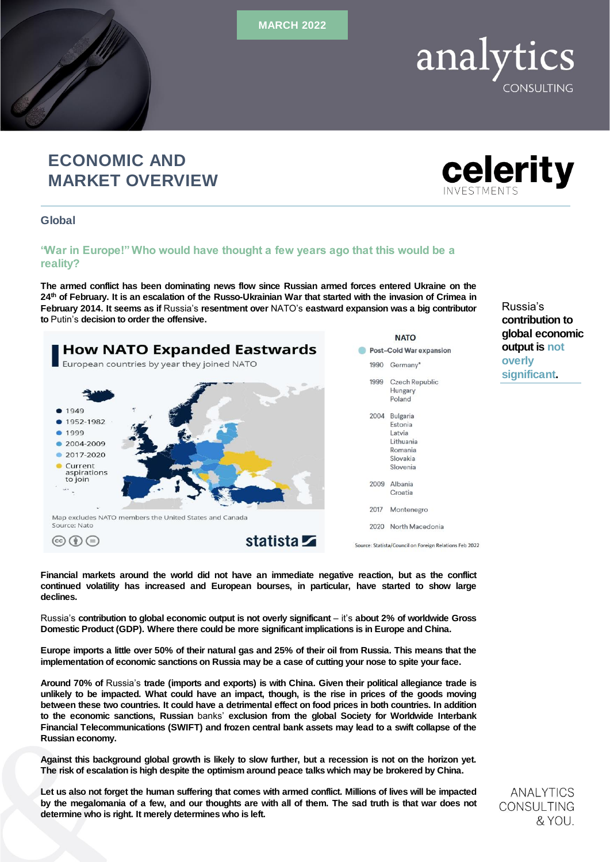MARCH 2022

# ECONOMIC AND MARKET OVERVIEW

Global

## "War in Europe!" Who would have thought a few years ago that this would be a reality?

The armed conflict has been dominating news flow since Russian armed forces entered Ukraine on the 24<sup>th</sup> of February. It is an escalation of the Russo-Ukrainian War that started with the invasion of Crimea in February 2014. It seems as if Russia's resentment over NATO's eastward expansion was a big contributor to Putin's decision to order the offensive.



Financial markets around the world did not have an immediate negative reaction, but as the conflict continued volatility has increased and European bourses, in particular, have started to show large declines.

Russia's contribution to global economic output is not overly significant – it's about 2% of worldwide Gross Domestic Product (GDP). Where there could be more significant implications is in Europe and China.

Europe imports a little over 50% of their natural gas and 25% of their oil from Russia. This means that the implementation of economic sanctions on Russia may be a case of cutting your nose to spite your face.

Around 70% of Russia's trade (imports and exports) is with China. Given their political allegiance trade is unlikely to be impacted. What could have an impact, though, is the rise in prices of the goods moving between these two countries. It could have a detrimental effect on food prices in both countries. In addition to the economic sanctions, Russian banks' exclusion from the global Society for Worldwide Interbank Financial Telecommunications (SWIFT) and frozen central bank assets may lead to a swift collapse of the Russian economy.

Against this background global growth is likely to slow further, but a recession is not on the horizon yet. The risk of escalation is high despite the optimism around peace talks which may be brokered by China.

Let us also not forget the human suffering that comes with armed conflict. Millions of lives will be impacted by the megalomania of a few, and our thoughts are with all of them. The sad truth is that war does not determine who is right. It merely determines who is left.

**ANALYTICS** CONSULTING & YOU.



Russia's contribution to global economic output is not

overly significant.

analytics CONSULTING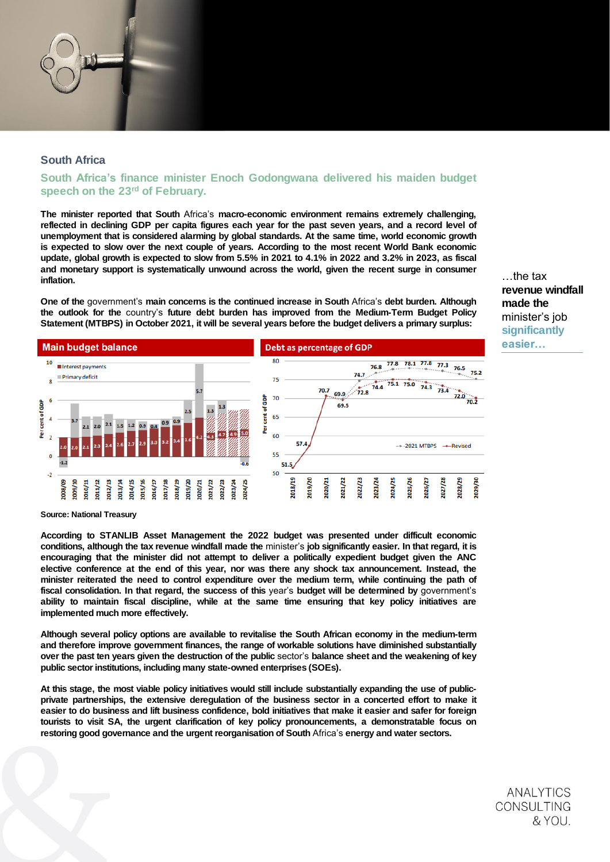# South Africa

### South Africa's finance minister Enoch Godongwana delivered his maiden budget speech on the 23<sup>rd</sup> of February.

The minister reported that South Africa's macro-economic environment remains extremely challenging, reflected in declining GDP per capita figures each year for the past seven years, and a record level of unemployment that is considered alarming by global standards. At the same time, world economic growth is expected to slow over the next couple of years. According to the most recent World Bank economic update, global growth is expected to slow from 5.5% in 2021 to 4.1% in 2022 and 3.2% in 2023, as fiscal and monetary support is systematically unwound across the world, given the recent surge in consumer inflation.

One of the government's main concerns is the continued increase in South Africa's debt burden. Although the outlook for the country's future debt burden has improved from the Medium-Term Budget Policy Statement (MTBPS) in October 2021, it will be several years before the budget delivers a primary surplus:

…the tax revenue windfall made the minister's job significantly easier…



Source: National Treasury

According to STANLIB Asset Management the 2022 budget was presented under difficult economic conditions, although the tax revenue windfall made the minister's job significantly easier. In that regard, it is encouraging that the minister did not attempt to deliver a politically expedient budget given the ANC elective conference at the end of this year, nor was there any shock tax announcement. Instead, the minister reiterated the need to control expenditure over the medium term, while continuing the path of fiscal consolidation. In that regard, the success of this year's budget will be determined by government's ability to maintain fiscal discipline, while at the same time ensuring that key policy initiatives are implemented much more effectively.

Although several policy options are available to revitalise the South African economy in the medium-term and therefore improve government finances, the range of workable solutions have diminished substantially over the past ten years given the destruction of the public sector's balance sheet and the weakening of key public sector institutions, including many state-owned enterprises (SOEs).

At this stage, the most viable policy initiatives would still include substantially expanding the use of publicprivate partnerships, the extensive deregulation of the business sector in a concerted effort to make it easier to do business and lift business confidence, bold initiatives that make it easier and safer for foreign tourists to visit SA, the urgent clarification of key policy pronouncements, a demonstratable focus on restoring good governance and the urgent reorganisation of South Africa's energy and water sectors.

> **ANALYTICS** CONSULTING & YOU.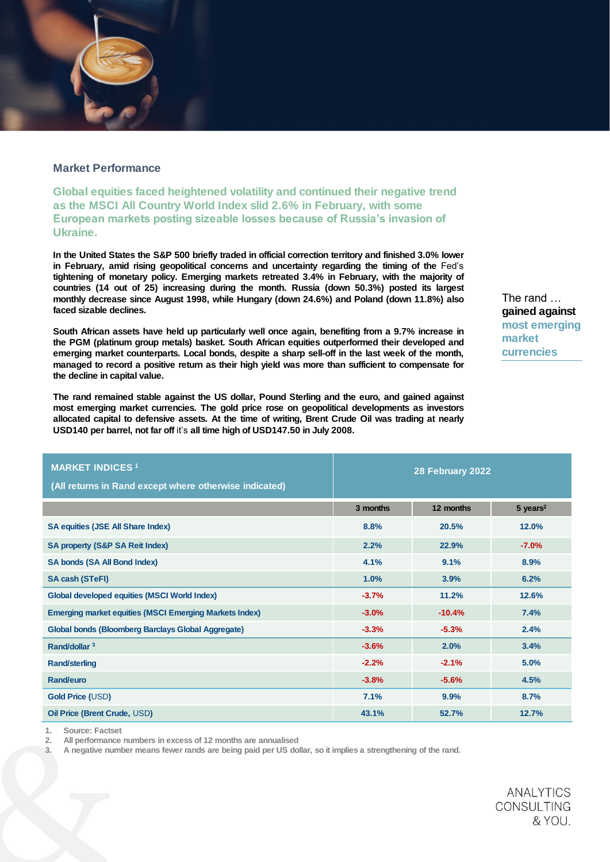# Market Performance

Global equities faced heightened volatility and continued their negative trend as the MSCI All Country World Index slid 2.6% in February, with some European markets posting sizeable losses because of Russia's invasion of Ukraine.

In the United States the S&P 500 briefly traded in official correction territory and finished 3.0% lower in February, amid rising geopolitical concerns and uncertainty regarding the timing of the Fed's tightening of monetary policy. Emerging markets retreated 3.4% in February, with the majority of countries (14 out of 25) increasing during the month. Russia (down 50.3%) posted its largest monthly decrease since August 1998, while Hungary (down 24.6%) and Poland (down 11.8%) also faced sizable declines.

South African assets have held up particularly well once again, benefiting from a 9.7% increase in the PGM (platinum group metals) basket. South African equities outperformed their developed and emerging market counterparts. Local bonds, despite a sharp sell-off in the last week of the month, managed to record a positive return as their high yield was more than sufficient to compensate for the decline in capital value.

The rand remained stable against the US dollar, Pound Sterling and the euro, and gained against most emerging market currencies. The gold price rose on geopolitical developments as investors allocated capital to defensive assets. At the time of writing, Brent Crude Oil was trading at nearly USD140 per barrel, not far off it's all time high of USD147.50 in July 2008.

| The rand<br>gained against |  |  |  |  |
|----------------------------|--|--|--|--|
| most emerging              |  |  |  |  |
| market                     |  |  |  |  |
| currencies                 |  |  |  |  |

| <b>MARKET INDICES<sup>1</sup></b><br>(All returns in Rand except where otherwise indicated) | 28 February 2022 |           |                        |
|---------------------------------------------------------------------------------------------|------------------|-----------|------------------------|
|                                                                                             |                  |           |                        |
|                                                                                             | 3 months         | 12 months | $5$ years <sup>2</sup> |
| SA equities (JSE All Share Index)                                                           | 8.8%             | 20.5%     | 12.0%                  |
| SA property (S&P SA Reit Index)                                                             | 2.2%             | 22.9%     | $-7.0%$                |
| SA bonds (SA All Bond Index)                                                                | 4.1%             | 9.1%      | 8.9%                   |
| SA cash (STeFI)                                                                             | 1.0%             | 3.9%      | 6.2%                   |
| Global developed equities (MSCI World Index)                                                | $-3.7%$          | 11.2%     | 12.6%                  |
| Emerging market equities (MSCI Emerging Markets Index)                                      | $-3.0%$          | $-10.4%$  | 7.4%                   |
| Global bonds (Bloomberg Barclays Global Aggregate)                                          | $-3.3%$          | $-5.3%$   | 2.4%                   |
| Rand/dollar 3                                                                               | $-3.6%$          | 2.0%      | 3.4%                   |
| Rand/sterling                                                                               | $-2.2%$          | $-2.1%$   | 5.0%                   |
| Rand/euro                                                                                   | $-3.8%$          | $-5.6%$   | 4.5%                   |
| Gold Price (USD)                                                                            | 7.1%             | 9.9%      | 8.7%                   |
| Oil Price (Brent Crude, USD)                                                                | 43.1%            | 52.7%     | 12.7%                  |

1. Source: Factset

2. All performance numbers in excess of 12 months are annualised

3. A negative number means fewer rands are being paid per US dollar, so it implies a strengthening of the rand.

**ANALYTICS CONSULTING** & YOU